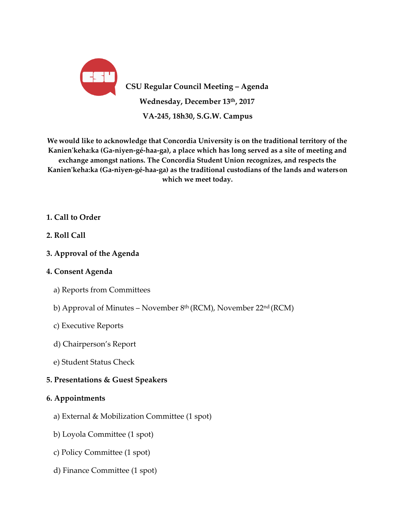

**CSU Regular Council Meeting – Agenda Wednesday, December 13th, 2017 VA-245, 18h30, S.G.W. Campus**

**We would like to acknowledge that Concordia University is on the traditional territory of the Kanien'keha:ka (Ga-niyen-gé-haa-ga), a place which has long served as a site of meeting and exchange amongst nations. The Concordia Student Union recognizes, and respects the Kanien'keha:ka (Ga-niyen-gé-haa-ga) as the traditional custodians of the lands and waterson which we meet today.**

# **1. Call to Order**

- **2. Roll Call**
- **3. Approval of the Agenda**

# **4. Consent Agenda**

- a) Reports from Committees
- b) Approval of Minutes November 8th (RCM), November 22nd (RCM)
- c) Executive Reports
- d) Chairperson's Report
- e) Student Status Check

# **5. Presentations & Guest Speakers**

# **6. Appointments**

- a) External & Mobilization Committee (1 spot)
- b) Loyola Committee (1 spot)
- c) Policy Committee (1 spot)
- d) Finance Committee (1 spot)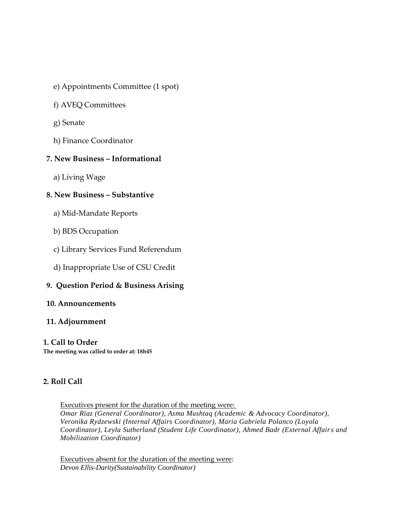- e) Appointments Committee (1 spot)
- f) AVEQ Committees
- g) Senate
- h) Finance Coordinator

# **7. New Business – Informational**

a) Living Wage

# **8. New Business – Substantive**

- a) Mid-Mandate Reports
- b) BDS Occupation
- c) Library Services Fund Referendum
- d) Inappropriate Use of CSU Credit

# **9. Question Period & Business Arising**

# **10. Announcements**

# **11. Adjournment**

# **1. Call to Order**

**The meeting was called to order at: 18h45**

# **2. Roll Call**

Executives present for the duration of the meeting were: *Omar Riaz (General Coordinator), Asma Mushtaq (Academic & Advocacy Coordinator),* 

*Veronika Rydzewski (Internal Affairs Coordinator), Maria Gabriela Polanco (Loyola Coordinator), Leyla Sutherland (Student Life Coordinator), Ahmed Badr (External Affairs and Mobilization Coordinator)*

Executives absent for the duration of the meeting were: *Devon Ellis-Darity(Sustainability Coordinator)*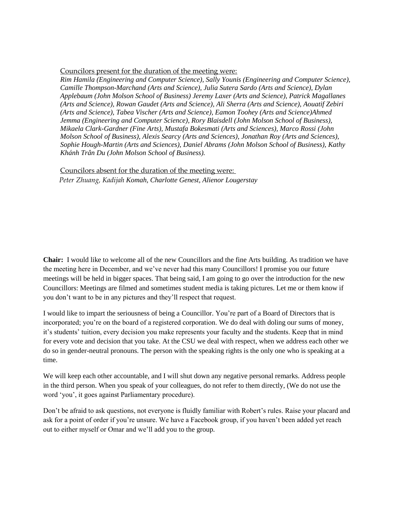Councilors present for the duration of the meeting were:

*Rim Hamila (Engineering and Computer Science), Sally Younis (Engineering and Computer Science), Camille Thompson-Marchand (Arts and Science), Julia Sutera Sardo (Arts and Science), Dylan Applebaum (John Molson School of Business) Jeremy Laxer (Arts and Science), Patrick Magallanes (Arts and Science), Rowan Gaudet (Arts and Science), Ali Sherra (Arts and Science), Aouatif Zebiri (Arts and Science), Tabea Vischer (Arts and Science), Eamon Toohey (Arts and Science)Ahmed Jemma (Engineering and Computer Science), Rory Blaisdell (John Molson School of Business), Mikaela Clark-Gardner (Fine Arts), Mustafa Bokesmati (Arts and Sciences), Marco Rossi (John Molson School of Business), Alexis Searcy (Arts and Sciences), Jonathan Roy (Arts and Sciences), Sophie Hough-Martin (Arts and Sciences), Daniel Abrams (John Molson School of Business), Kathy Khánh Trân Du (John Molson School of Business).* 

Councilors absent for the duration of the meeting were: *Peter Zhuang, Kadijah Komah, Charlotte Genest, Alienor Lougerstay*

**Chair:** I would like to welcome all of the new Councillors and the fine Arts building. As tradition we have the meeting here in December, and we've never had this many Councillors! I promise you our future meetings will be held in bigger spaces. That being said, I am going to go over the introduction for the new Councillors: Meetings are filmed and sometimes student media is taking pictures. Let me or them know if you don't want to be in any pictures and they'll respect that request.

I would like to impart the seriousness of being a Councillor. You're part of a Board of Directors that is incorporated; you're on the board of a registered corporation. We do deal with doling our sums of money, it's students' tuition, every decision you make represents your faculty and the students. Keep that in mind for every vote and decision that you take. At the CSU we deal with respect, when we address each other we do so in gender-neutral pronouns. The person with the speaking rights is the only one who is speaking at a time.

We will keep each other accountable, and I will shut down any negative personal remarks. Address people in the third person. When you speak of your colleagues, do not refer to them directly, (We do not use the word 'you', it goes against Parliamentary procedure).

Don't be afraid to ask questions, not everyone is fluidly familiar with Robert's rules. Raise your placard and ask for a point of order if you're unsure. We have a Facebook group, if you haven't been added yet reach out to either myself or Omar and we'll add you to the group.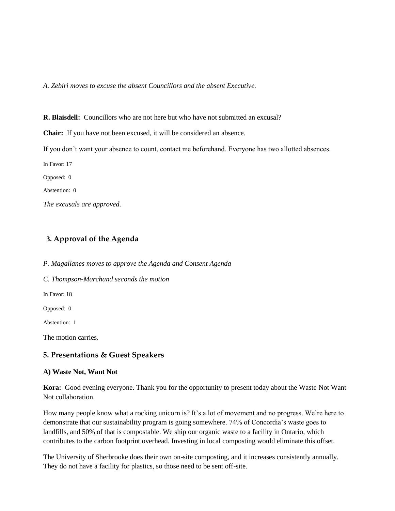*A. Zebiri moves to excuse the absent Councillors and the absent Executive.* 

**R. Blaisdell:** Councillors who are not here but who have not submitted an excusal? **Chair:** If you have not been excused, it will be considered an absence. If you don't want your absence to count, contact me beforehand. Everyone has two allotted absences. In Favor: 17 Opposed: 0 Abstention: 0 *The excusals are approved.*

# **3. Approval of the Agenda**

*P. Magallanes moves to approve the Agenda and Consent Agenda*

*C. Thompson-Marchand seconds the motion*

In Favor: 18

Opposed: 0

Abstention: 1

The motion carries.

#### **5. Presentations & Guest Speakers**

#### **A) Waste Not, Want Not**

**Kora:** Good evening everyone. Thank you for the opportunity to present today about the Waste Not Want Not collaboration.

How many people know what a rocking unicorn is? It's a lot of movement and no progress. We're here to demonstrate that our sustainability program is going somewhere. 74% of Concordia's waste goes to landfills, and 50% of that is compostable. We ship our organic waste to a facility in Ontario, which contributes to the carbon footprint overhead. Investing in local composting would eliminate this offset.

The University of Sherbrooke does their own on-site composting, and it increases consistently annually. They do not have a facility for plastics, so those need to be sent off-site.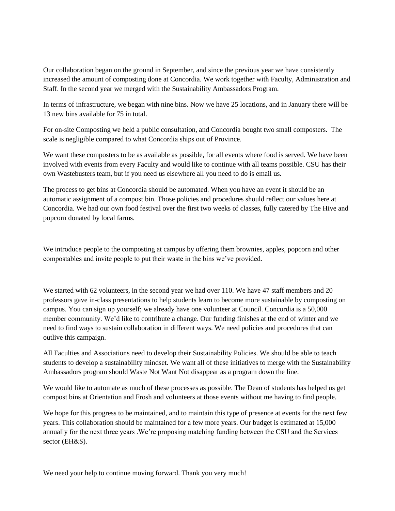Our collaboration began on the ground in September, and since the previous year we have consistently increased the amount of composting done at Concordia. We work together with Faculty, Administration and Staff. In the second year we merged with the Sustainability Ambassadors Program.

In terms of infrastructure, we began with nine bins. Now we have 25 locations, and in January there will be 13 new bins available for 75 in total.

For on-site Composting we held a public consultation, and Concordia bought two small composters. The scale is negligible compared to what Concordia ships out of Province.

We want these composters to be as available as possible, for all events where food is served. We have been involved with events from every Faculty and would like to continue with all teams possible. CSU has their own Wastebusters team, but if you need us elsewhere all you need to do is email us.

The process to get bins at Concordia should be automated. When you have an event it should be an automatic assignment of a compost bin. Those policies and procedures should reflect our values here at Concordia. We had our own food festival over the first two weeks of classes, fully catered by The Hive and popcorn donated by local farms.

We introduce people to the composting at campus by offering them brownies, apples, popcorn and other compostables and invite people to put their waste in the bins we've provided.

We started with 62 volunteers, in the second year we had over 110. We have 47 staff members and 20 professors gave in-class presentations to help students learn to become more sustainable by composting on campus. You can sign up yourself; we already have one volunteer at Council. Concordia is a 50,000 member community. We'd like to contribute a change. Our funding finishes at the end of winter and we need to find ways to sustain collaboration in different ways. We need policies and procedures that can outlive this campaign.

All Faculties and Associations need to develop their Sustainability Policies. We should be able to teach students to develop a sustainability mindset. We want all of these initiatives to merge with the Sustainability Ambassadors program should Waste Not Want Not disappear as a program down the line.

We would like to automate as much of these processes as possible. The Dean of students has helped us get compost bins at Orientation and Frosh and volunteers at those events without me having to find people.

We hope for this progress to be maintained, and to maintain this type of presence at events for the next few years. This collaboration should be maintained for a few more years. Our budget is estimated at 15,000 annually for the next three years .We're proposing matching funding between the CSU and the Services sector (EH&S).

We need your help to continue moving forward. Thank you very much!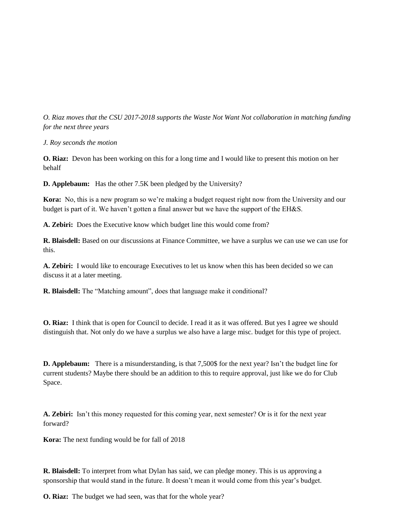*O. Riaz moves that the CSU 2017-2018 supports the Waste Not Want Not collaboration in matching funding for the next three years*

*J. Roy seconds the motion*

**O. Riaz:** Devon has been working on this for a long time and I would like to present this motion on her behalf

**D. Applebaum:** Has the other 7.5K been pledged by the University?

**Kora:** No, this is a new program so we're making a budget request right now from the University and our budget is part of it. We haven't gotten a final answer but we have the support of the EH&S.

**A. Zebiri:** Does the Executive know which budget line this would come from?

**R. Blaisdell:** Based on our discussions at Finance Committee, we have a surplus we can use we can use for this.

**A. Zebiri:** I would like to encourage Executives to let us know when this has been decided so we can discuss it at a later meeting.

**R. Blaisdell:** The "Matching amount", does that language make it conditional?

**O. Riaz:** I think that is open for Council to decide. I read it as it was offered. But yes I agree we should distinguish that. Not only do we have a surplus we also have a large misc. budget for this type of project.

**D. Applebaum:** There is a misunderstanding, is that 7,500\$ for the next year? Isn't the budget line for current students? Maybe there should be an addition to this to require approval, just like we do for Club Space.

**A. Zebiri:** Isn't this money requested for this coming year, next semester? Or is it for the next year forward?

**Kora:** The next funding would be for fall of 2018

**R. Blaisdell:** To interpret from what Dylan has said, we can pledge money. This is us approving a sponsorship that would stand in the future. It doesn't mean it would come from this year's budget.

**O. Riaz:** The budget we had seen, was that for the whole year?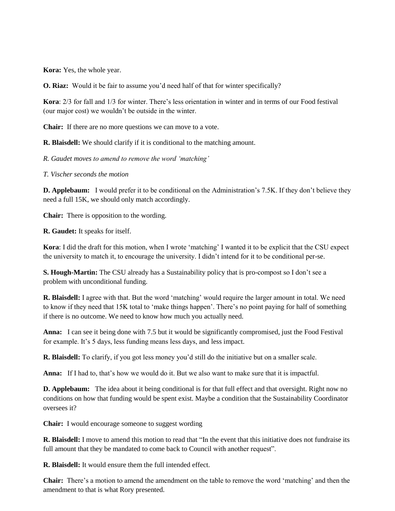**Kora:** Yes, the whole year.

**O. Riaz:** Would it be fair to assume you'd need half of that for winter specifically?

**Kora**: 2/3 for fall and 1/3 for winter. There's less orientation in winter and in terms of our Food festival (our major cost) we wouldn't be outside in the winter.

**Chair:** If there are no more questions we can move to a vote.

**R. Blaisdell:** We should clarify if it is conditional to the matching amount.

*R. Gaudet moves to amend to remove the word 'matching'*

*T. Vischer seconds the motion*

**D. Applebaum:** I would prefer it to be conditional on the Administration's 7.5K. If they don't believe they need a full 15K, we should only match accordingly.

**Chair:** There is opposition to the wording.

**R. Gaudet:** It speaks for itself.

**Kora**: I did the draft for this motion, when I wrote 'matching' I wanted it to be explicit that the CSU expect the university to match it, to encourage the university. I didn't intend for it to be conditional per-se.

**S. Hough-Martin:** The CSU already has a Sustainability policy that is pro-compost so I don't see a problem with unconditional funding.

**R. Blaisdell:** I agree with that. But the word 'matching' would require the larger amount in total. We need to know if they need that 15K total to 'make things happen'. There's no point paying for half of something if there is no outcome. We need to know how much you actually need.

**Anna:** I can see it being done with 7.5 but it would be significantly compromised, just the Food Festival for example. It's 5 days, less funding means less days, and less impact.

**R. Blaisdell:** To clarify, if you got less money you'd still do the initiative but on a smaller scale.

**Anna:** If I had to, that's how we would do it. But we also want to make sure that it is impactful.

**D. Applebaum:** The idea about it being conditional is for that full effect and that oversight. Right now no conditions on how that funding would be spent exist. Maybe a condition that the Sustainability Coordinator oversees it?

**Chair:** I would encourage someone to suggest wording

**R. Blaisdell:** I move to amend this motion to read that "In the event that this initiative does not fundraise its full amount that they be mandated to come back to Council with another request".

**R. Blaisdell:** It would ensure them the full intended effect.

**Chair:** There's a motion to amend the amendment on the table to remove the word 'matching' and then the amendment to that is what Rory presented.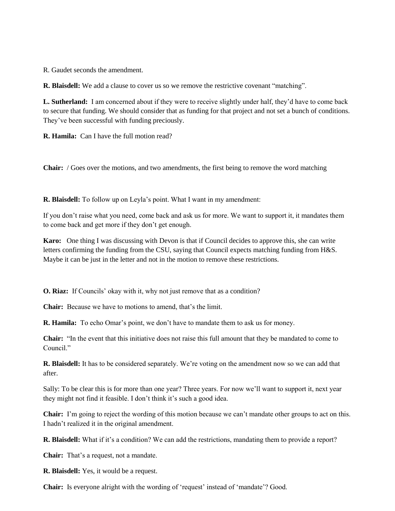R. Gaudet seconds the amendment.

**R. Blaisdell:** We add a clause to cover us so we remove the restrictive covenant "matching".

**L. Sutherland:** I am concerned about if they were to receive slightly under half, they'd have to come back to secure that funding. We should consider that as funding for that project and not set a bunch of conditions. They've been successful with funding preciously.

**R. Hamila:** Can I have the full motion read?

**Chair:** / Goes over the motions, and two amendments, the first being to remove the word matching

**R. Blaisdell:** To follow up on Leyla's point. What I want in my amendment:

If you don't raise what you need, come back and ask us for more. We want to support it, it mandates them to come back and get more if they don't get enough.

**Karo:** One thing I was discussing with Devon is that if Council decides to approve this, she can write letters confirming the funding from the CSU, saying that Council expects matching funding from H&S. Maybe it can be just in the letter and not in the motion to remove these restrictions.

**O. Riaz:** If Councils' okay with it, why not just remove that as a condition?

**Chair:** Because we have to motions to amend, that's the limit.

**R. Hamila:** To echo Omar's point, we don't have to mandate them to ask us for money.

**Chair:** "In the event that this initiative does not raise this full amount that they be mandated to come to Council<sup>"</sup>

**R. Blaisdell:** It has to be considered separately. We're voting on the amendment now so we can add that after.

Sally: To be clear this is for more than one year? Three years. For now we'll want to support it, next year they might not find it feasible. I don't think it's such a good idea.

**Chair:** I'm going to reject the wording of this motion because we can't mandate other groups to act on this. I hadn't realized it in the original amendment.

**R. Blaisdell:** What if it's a condition? We can add the restrictions, mandating them to provide a report?

**Chair:** That's a request, not a mandate.

**R. Blaisdell:** Yes, it would be a request.

**Chair:** Is everyone alright with the wording of 'request' instead of 'mandate'? Good.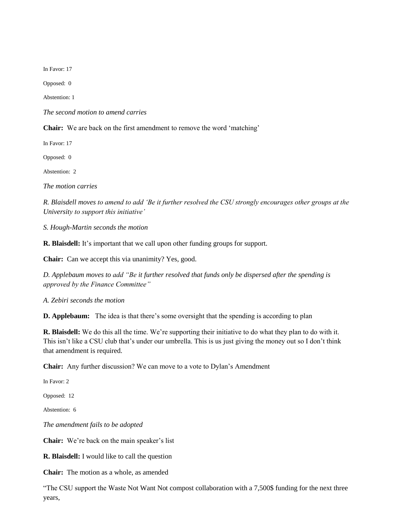In Favor: 17

Opposed: 0

Abstention: 1

*The second motion to amend carries* 

**Chair:** We are back on the first amendment to remove the word 'matching'

In Favor: 17

Opposed: 0

Abstention: 2

*The motion carries*

*R. Blaisdell moves to amend to add 'Be it further resolved the CSU strongly encourages other groups at the University to support this initiative'*

*S. Hough-Martin seconds the motion*

**R. Blaisdell:** It's important that we call upon other funding groups for support.

**Chair:** Can we accept this via unanimity? Yes, good.

*D. Applebaum moves to add "Be it further resolved that funds only be dispersed after the spending is approved by the Finance Committee"* 

*A. Zebiri seconds the motion*

**D. Applebaum:** The idea is that there's some oversight that the spending is according to plan

**R. Blaisdell:** We do this all the time. We're supporting their initiative to do what they plan to do with it. This isn't like a CSU club that's under our umbrella. This is us just giving the money out so I don't think that amendment is required.

**Chair:** Any further discussion? We can move to a vote to Dylan's Amendment

In Favor: 2

Opposed: 12

Abstention: 6

*The amendment fails to be adopted*

**Chair:** We're back on the main speaker's list

**R. Blaisdell:** I would like to call the question

**Chair:** The motion as a whole, as amended

"The CSU support the Waste Not Want Not compost collaboration with a 7,500\$ funding for the next three years,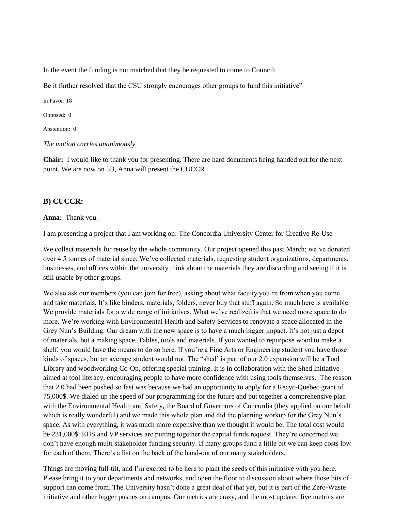In the event the funding is not matched that they be requested to come to Council;

Be it further resolved that the CSU strongly encourages other groups to fund this initiative"

In Favor: 18

Opposed: 0

Abstention: 0

*The motion carries unanimously*

**Chair:** I would like to thank you for presenting. There are hard documents being handed out for the next point. We are now on 5B, Anna will present the CUCCR

#### **B) CUCCR:**

#### **Anna:** Thank you.

I am presenting a project that I am working on: The Concordia University Center for Creative Re-Use

We collect materials for reuse by the whole community. Our project opened this past March; we've donated over 4.5 tonnes of material since. We've collected materials, requesting student organizations, departments, businesses, and offices within the university think about the materials they are discarding and seeing if it is still usable by other groups.

We also ask our members (you can join for free), asking about what faculty you're from when you come and take materials. It's like binders, materials, folders, never buy that stuff again. So much here is available. We provide materials for a wide range of initiatives. What we've realized is that we need more space to do more. We're working with Environmental Health and Safety Services to renovate a space allocated in the Grey Nun's Building. Our dream with the new space is to have a much bigger impact. It's not just a depot of materials, but a making space. Tables, tools and materials. If you wanted to repurpose wood to make a shelf, you would have the means to do so here. If you're a Fine Arts or Engineering student you have those kinds of spaces, but an average student would not. The "shed' is part of our 2.0 expansion will be a Tool Library and woodworking Co-Op, offering special training. It is in collaboration with the Shed Initiative aimed at tool literacy, encouraging people to have more confidence with using tools themselves. The reason that 2.0 had been pushed so fast was because we had an opportunity to apply for a Recyc-Quebec grant of 75,000\$. We dialed up the speed of our programming for the future and put together a comprehensive plan with the Environmental Health and Safety, the Board of Governors of Concordia (they applied on our behalf which is really wonderful) and we made this whole plan and did the planning workup for the Grey Nun's space. As with everything, it was much more expensive than we thought it would be. The total cost would be 231,000\$. EHS and VP services are putting together the capital funds request. They're concerned we don't have enough multi stakeholder funding security. If many groups fund a little bit we can keep costs low for each of them. There's a list on the back of the hand-out of our many stakeholders.

Things are moving full-tilt, and I'm excited to be here to plant the seeds of this initiative with you here. Please bring it to your departments and networks, and open the floor to discussion about where those bits of support can come from. The University hasn't done a great deal of that yet, but it is part of the Zero-Waste initiative and other bigger pushes on campus. Our metrics are crazy, and the most updated live metrics are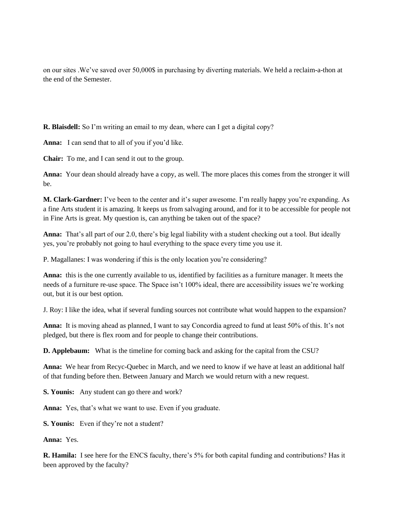on our sites .We've saved over 50,000\$ in purchasing by diverting materials. We held a reclaim-a-thon at the end of the Semester.

**R. Blaisdell:** So I'm writing an email to my dean, where can I get a digital copy?

**Anna:** I can send that to all of you if you'd like.

**Chair:** To me, and I can send it out to the group.

**Anna:** Your dean should already have a copy, as well. The more places this comes from the stronger it will be.

**M. Clark-Gardner:** I've been to the center and it's super awesome. I'm really happy you're expanding. As a fine Arts student it is amazing. It keeps us from salvaging around, and for it to be accessible for people not in Fine Arts is great. My question is, can anything be taken out of the space?

**Anna:** That's all part of our 2.0, there's big legal liability with a student checking out a tool. But ideally yes, you're probably not going to haul everything to the space every time you use it.

P. Magallanes: I was wondering if this is the only location you're considering?

**Anna:** this is the one currently available to us, identified by facilities as a furniture manager. It meets the needs of a furniture re-use space. The Space isn't 100% ideal, there are accessibility issues we're working out, but it is our best option.

J. Roy: I like the idea, what if several funding sources not contribute what would happen to the expansion?

**Anna:** It is moving ahead as planned, I want to say Concordia agreed to fund at least 50% of this. It's not pledged, but there is flex room and for people to change their contributions.

**D. Applebaum:** What is the timeline for coming back and asking for the capital from the CSU?

**Anna:** We hear from Recyc-Quebec in March, and we need to know if we have at least an additional half of that funding before then. Between January and March we would return with a new request.

**S. Younis:** Any student can go there and work?

**Anna:** Yes, that's what we want to use. Even if you graduate.

**S. Younis:** Even if they're not a student?

**Anna:** Yes.

**R. Hamila:** I see here for the ENCS faculty, there's 5% for both capital funding and contributions? Has it been approved by the faculty?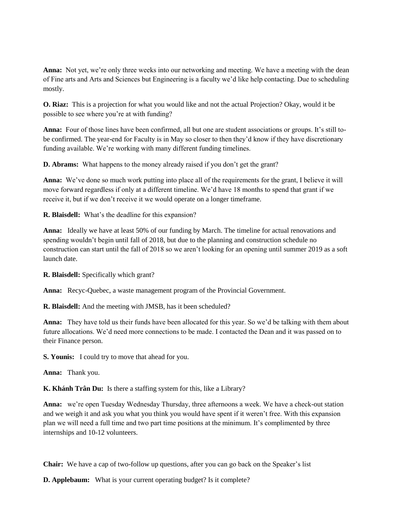**Anna:** Not yet, we're only three weeks into our networking and meeting. We have a meeting with the dean of Fine arts and Arts and Sciences but Engineering is a faculty we'd like help contacting. Due to scheduling mostly.

**O. Riaz:** This is a projection for what you would like and not the actual Projection? Okay, would it be possible to see where you're at with funding?

**Anna:** Four of those lines have been confirmed, all but one are student associations or groups. It's still tobe confirmed. The year-end for Faculty is in May so closer to then they'd know if they have discretionary funding available. We're working with many different funding timelines.

**D. Abrams:** What happens to the money already raised if you don't get the grant?

**Anna:** We've done so much work putting into place all of the requirements for the grant, I believe it will move forward regardless if only at a different timeline. We'd have 18 months to spend that grant if we receive it, but if we don't receive it we would operate on a longer timeframe.

**R. Blaisdell:** What's the deadline for this expansion?

**Anna:** Ideally we have at least 50% of our funding by March. The timeline for actual renovations and spending wouldn't begin until fall of 2018, but due to the planning and construction schedule no construction can start until the fall of 2018 so we aren't looking for an opening until summer 2019 as a soft launch date.

**R. Blaisdell:** Specifically which grant?

**Anna:** Recyc-Quebec, a waste management program of the Provincial Government.

**R. Blaisdell:** And the meeting with JMSB, has it been scheduled?

**Anna:** They have told us their funds have been allocated for this year. So we'd be talking with them about future allocations. We'd need more connections to be made. I contacted the Dean and it was passed on to their Finance person.

**S. Younis:** I could try to move that ahead for you.

**Anna:** Thank you.

**K. Khánh Trân Du:** Is there a staffing system for this, like a Library?

**Anna:** we're open Tuesday Wednesday Thursday, three afternoons a week. We have a check-out station and we weigh it and ask you what you think you would have spent if it weren't free. With this expansion plan we will need a full time and two part time positions at the minimum. It's complimented by three internships and 10-12 volunteers.

**Chair:** We have a cap of two-follow up questions, after you can go back on the Speaker's list

**D. Applebaum:** What is your current operating budget? Is it complete?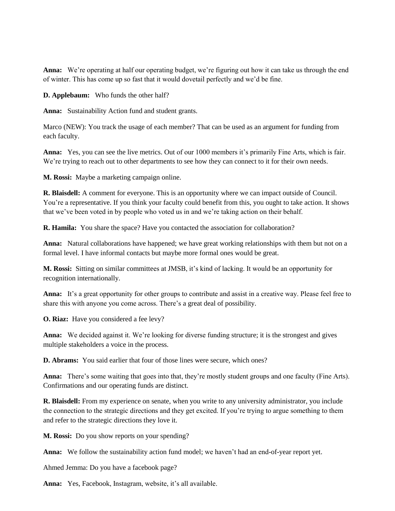**Anna:** We're operating at half our operating budget, we're figuring out how it can take us through the end of winter. This has come up so fast that it would dovetail perfectly and we'd be fine.

**D. Applebaum:** Who funds the other half?

**Anna:** Sustainability Action fund and student grants.

Marco (NEW): You track the usage of each member? That can be used as an argument for funding from each faculty.

**Anna:** Yes, you can see the live metrics. Out of our 1000 members it's primarily Fine Arts, which is fair. We're trying to reach out to other departments to see how they can connect to it for their own needs.

**M. Rossi:** Maybe a marketing campaign online.

**R. Blaisdell:** A comment for everyone. This is an opportunity where we can impact outside of Council. You're a representative. If you think your faculty could benefit from this, you ought to take action. It shows that we've been voted in by people who voted us in and we're taking action on their behalf.

**R. Hamila:** You share the space? Have you contacted the association for collaboration?

**Anna:** Natural collaborations have happened; we have great working relationships with them but not on a formal level. I have informal contacts but maybe more formal ones would be great.

**M. Rossi:** Sitting on similar committees at JMSB, it's kind of lacking. It would be an opportunity for recognition internationally.

**Anna:** It's a great opportunity for other groups to contribute and assist in a creative way. Please feel free to share this with anyone you come across. There's a great deal of possibility.

**O. Riaz:** Have you considered a fee levy?

**Anna:** We decided against it. We're looking for diverse funding structure; it is the strongest and gives multiple stakeholders a voice in the process.

**D. Abrams:** You said earlier that four of those lines were secure, which ones?

**Anna:** There's some waiting that goes into that, they're mostly student groups and one faculty (Fine Arts). Confirmations and our operating funds are distinct.

**R. Blaisdell:** From my experience on senate, when you write to any university administrator, you include the connection to the strategic directions and they get excited. If you're trying to argue something to them and refer to the strategic directions they love it.

**M. Rossi:** Do you show reports on your spending?

**Anna:** We follow the sustainability action fund model; we haven't had an end-of-year report yet.

Ahmed Jemma: Do you have a facebook page?

**Anna:** Yes, Facebook, Instagram, website, it's all available.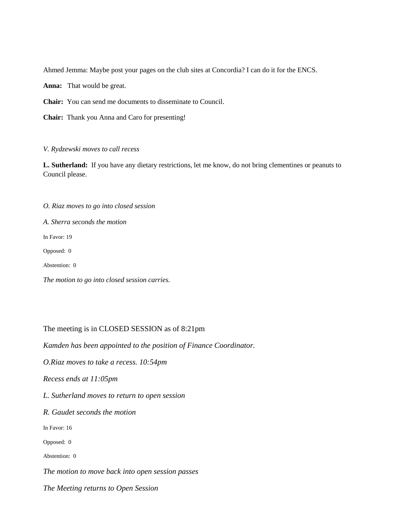Ahmed Jemma: Maybe post your pages on the club sites at Concordia? I can do it for the ENCS.

**Anna:** That would be great.

**Chair:** You can send me documents to disseminate to Council.

**Chair:** Thank you Anna and Caro for presenting!

#### *V. Rydzewski moves to call recess*

**L. Sutherland:** If you have any dietary restrictions, let me know, do not bring clementines or peanuts to Council please.

*O. Riaz moves to go into closed session*

*A. Sherra seconds the motion*

In Favor: 19

Opposed: 0

Abstention: 0

*The motion to go into closed session carries.*

The meeting is in CLOSED SESSION as of 8:21pm

*Kamden has been appointed to the position of Finance Coordinator.* 

*O.Riaz moves to take a recess. 10:54pm*

*Recess ends at 11:05pm*

*L. Sutherland moves to return to open session*

*R. Gaudet seconds the motion*

In Favor: 16

Opposed: 0

Abstention: 0

*The motion to move back into open session passes*

*The Meeting returns to Open Session*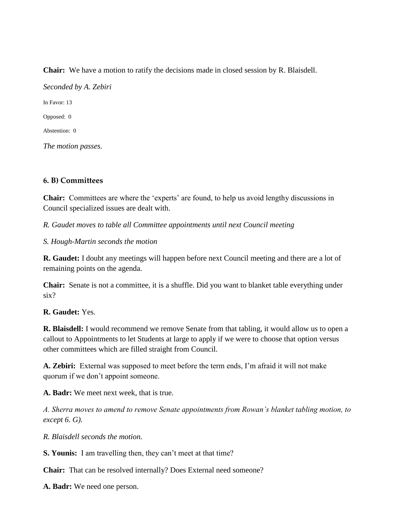**Chair:** We have a motion to ratify the decisions made in closed session by R. Blaisdell. *Seconded by A. Zebiri* In Favor: 13 Opposed: 0 Abstention: 0 *The motion passes.*

# **6. B) Committees**

**Chair:** Committees are where the 'experts' are found, to help us avoid lengthy discussions in Council specialized issues are dealt with.

*R. Gaudet moves to table all Committee appointments until next Council meeting*

*S. Hough-Martin seconds the motion*

**R. Gaudet:** I doubt any meetings will happen before next Council meeting and there are a lot of remaining points on the agenda.

**Chair:** Senate is not a committee, it is a shuffle. Did you want to blanket table everything under six?

**R. Gaudet:** Yes.

**R. Blaisdell:** I would recommend we remove Senate from that tabling, it would allow us to open a callout to Appointments to let Students at large to apply if we were to choose that option versus other committees which are filled straight from Council.

**A. Zebiri:** External was supposed to meet before the term ends, I'm afraid it will not make quorum if we don't appoint someone.

**A. Badr:** We meet next week, that is true.

*A. Sherra moves to amend to remove Senate appointments from Rowan's blanket tabling motion, to except 6. G).* 

*R. Blaisdell seconds the motion.*

**S. Younis:** I am travelling then, they can't meet at that time?

**Chair:** That can be resolved internally? Does External need someone?

**A. Badr:** We need one person.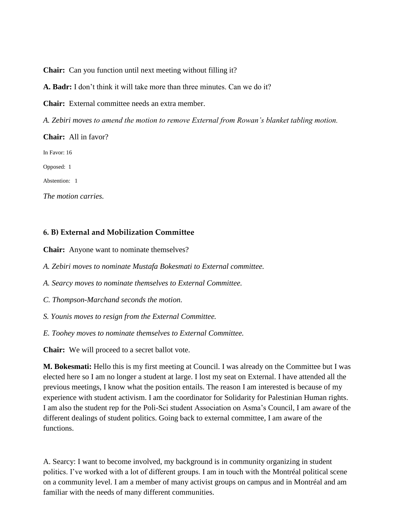**Chair:** Can you function until next meeting without filling it?

**A. Badr:** I don't think it will take more than three minutes. Can we do it?

**Chair:** External committee needs an extra member.

*A. Zebiri moves to amend the motion to remove External from Rowan's blanket tabling motion.* 

**Chair:** All in favor? In Favor: 16 Opposed: 1 Abstention: 1 *The motion carries.* 

# **6. B) External and Mobilization Committee**

**Chair:** Anyone want to nominate themselves?

*A. Zebiri moves to nominate Mustafa Bokesmati to External committee.* 

*A. Searcy moves to nominate themselves to External Committee.* 

*C. Thompson-Marchand seconds the motion.* 

*S. Younis moves to resign from the External Committee.* 

*E. Toohey moves to nominate themselves to External Committee.*

**Chair:** We will proceed to a secret ballot vote.

**M. Bokesmati:** Hello this is my first meeting at Council. I was already on the Committee but I was elected here so I am no longer a student at large. I lost my seat on External. I have attended all the previous meetings, I know what the position entails. The reason I am interested is because of my experience with student activism. I am the coordinator for Solidarity for Palestinian Human rights. I am also the student rep for the Poli-Sci student Association on Asma's Council, I am aware of the different dealings of student politics. Going back to external committee, I am aware of the functions.

A. Searcy: I want to become involved, my background is in community organizing in student politics. I've worked with a lot of different groups. I am in touch with the Montréal political scene on a community level. I am a member of many activist groups on campus and in Montréal and am familiar with the needs of many different communities.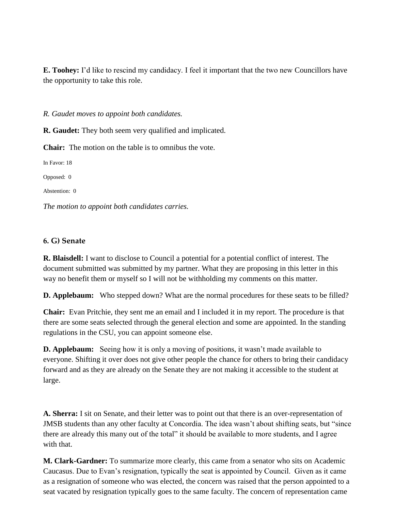**E. Toohey:** I'd like to rescind my candidacy. I feel it important that the two new Councillors have the opportunity to take this role.

*R. Gaudet moves to appoint both candidates.* 

**R. Gaudet:** They both seem very qualified and implicated.

**Chair:** The motion on the table is to omnibus the vote.

In Favor: 18

Opposed: 0

Abstention: 0

*The motion to appoint both candidates carries.*

# **6. G) Senate**

**R. Blaisdell:** I want to disclose to Council a potential for a potential conflict of interest. The document submitted was submitted by my partner. What they are proposing in this letter in this way no benefit them or myself so I will not be withholding my comments on this matter.

**D. Applebaum:** Who stepped down? What are the normal procedures for these seats to be filled?

**Chair:** Evan Pritchie, they sent me an email and I included it in my report. The procedure is that there are some seats selected through the general election and some are appointed. In the standing regulations in the CSU, you can appoint someone else.

**D. Applebaum:** Seeing how it is only a moving of positions, it wasn't made available to everyone. Shifting it over does not give other people the chance for others to bring their candidacy forward and as they are already on the Senate they are not making it accessible to the student at large.

**A. Sherra:** I sit on Senate, and their letter was to point out that there is an over-representation of JMSB students than any other faculty at Concordia. The idea wasn't about shifting seats, but "since there are already this many out of the total" it should be available to more students, and I agree with that.

**M. Clark-Gardner:** To summarize more clearly, this came from a senator who sits on Academic Caucasus. Due to Evan's resignation, typically the seat is appointed by Council. Given as it came as a resignation of someone who was elected, the concern was raised that the person appointed to a seat vacated by resignation typically goes to the same faculty. The concern of representation came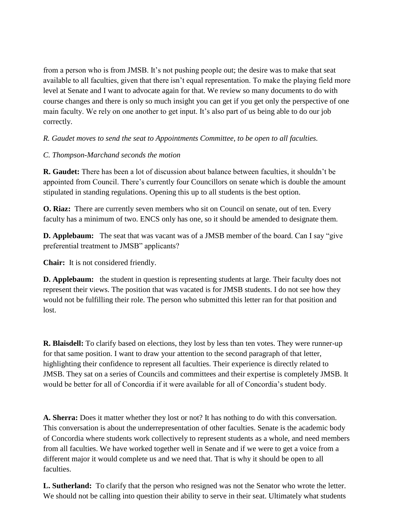from a person who is from JMSB. It's not pushing people out; the desire was to make that seat available to all faculties, given that there isn't equal representation. To make the playing field more level at Senate and I want to advocate again for that. We review so many documents to do with course changes and there is only so much insight you can get if you get only the perspective of one main faculty. We rely on one another to get input. It's also part of us being able to do our job correctly.

# *R. Gaudet moves to send the seat to Appointments Committee, to be open to all faculties.*

# *C. Thompson-Marchand seconds the motion*

**R. Gaudet:** There has been a lot of discussion about balance between faculties, it shouldn't be appointed from Council. There's currently four Councillors on senate which is double the amount stipulated in standing regulations. Opening this up to all students is the best option.

**O. Riaz:** There are currently seven members who sit on Council on senate, out of ten. Every faculty has a minimum of two. ENCS only has one, so it should be amended to designate them.

**D. Applebaum:** The seat that was vacant was of a JMSB member of the board. Can I say "give preferential treatment to JMSB" applicants?

**Chair:** It is not considered friendly.

**D. Applebaum:** the student in question is representing students at large. Their faculty does not represent their views. The position that was vacated is for JMSB students. I do not see how they would not be fulfilling their role. The person who submitted this letter ran for that position and lost.

**R. Blaisdell:** To clarify based on elections, they lost by less than ten votes. They were runner-up for that same position. I want to draw your attention to the second paragraph of that letter, highlighting their confidence to represent all faculties. Their experience is directly related to JMSB. They sat on a series of Councils and committees and their expertise is completely JMSB. It would be better for all of Concordia if it were available for all of Concordia's student body.

**A. Sherra:** Does it matter whether they lost or not? It has nothing to do with this conversation. This conversation is about the underrepresentation of other faculties. Senate is the academic body of Concordia where students work collectively to represent students as a whole, and need members from all faculties. We have worked together well in Senate and if we were to get a voice from a different major it would complete us and we need that. That is why it should be open to all faculties.

**L. Sutherland:** To clarify that the person who resigned was not the Senator who wrote the letter. We should not be calling into question their ability to serve in their seat. Ultimately what students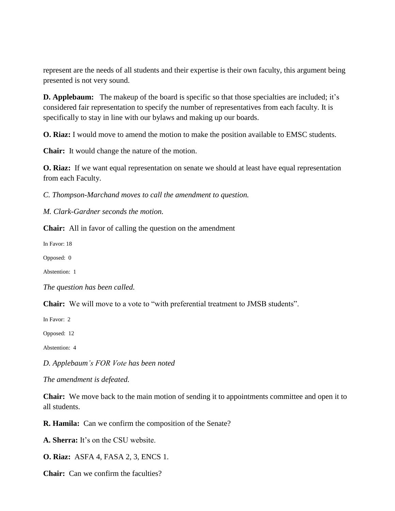represent are the needs of all students and their expertise is their own faculty, this argument being presented is not very sound.

**D. Applebaum:** The makeup of the board is specific so that those specialties are included; it's considered fair representation to specify the number of representatives from each faculty. It is specifically to stay in line with our bylaws and making up our boards.

**O. Riaz:** I would move to amend the motion to make the position available to EMSC students.

**Chair:** It would change the nature of the motion.

**O. Riaz:** If we want equal representation on senate we should at least have equal representation from each Faculty.

*C. Thompson-Marchand moves to call the amendment to question.* 

*M. Clark-Gardner seconds the motion.*

**Chair:** All in favor of calling the question on the amendment

In Favor: 18

Opposed: 0

Abstention: 1

*The question has been called.*

**Chair:** We will move to a vote to "with preferential treatment to JMSB students".

In Favor: 2

Opposed: 12

Abstention: 4

*D. Applebaum's FOR Vote has been noted*

*The amendment is defeated.*

**Chair:** We move back to the main motion of sending it to appointments committee and open it to all students.

**R. Hamila:** Can we confirm the composition of the Senate?

**A. Sherra:** It's on the CSU website.

**O. Riaz:** ASFA 4, FASA 2, 3, ENCS 1.

**Chair:** Can we confirm the faculties?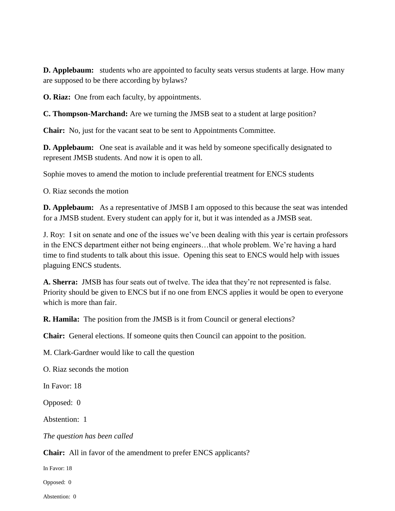**D. Applebaum:** students who are appointed to faculty seats versus students at large. How many are supposed to be there according by bylaws?

**O. Riaz:** One from each faculty, by appointments.

**C. Thompson-Marchand:** Are we turning the JMSB seat to a student at large position?

**Chair:** No, just for the vacant seat to be sent to Appointments Committee.

**D. Applebaum:** One seat is available and it was held by someone specifically designated to represent JMSB students. And now it is open to all.

Sophie moves to amend the motion to include preferential treatment for ENCS students

O. Riaz seconds the motion

**D. Applebaum:** As a representative of JMSB I am opposed to this because the seat was intended for a JMSB student. Every student can apply for it, but it was intended as a JMSB seat.

J. Roy: I sit on senate and one of the issues we've been dealing with this year is certain professors in the ENCS department either not being engineers…that whole problem. We're having a hard time to find students to talk about this issue. Opening this seat to ENCS would help with issues plaguing ENCS students.

**A. Sherra:** JMSB has four seats out of twelve. The idea that they're not represented is false. Priority should be given to ENCS but if no one from ENCS applies it would be open to everyone which is more than fair.

**R. Hamila:** The position from the JMSB is it from Council or general elections?

**Chair:** General elections. If someone quits then Council can appoint to the position.

M. Clark-Gardner would like to call the question

O. Riaz seconds the motion

In Favor: 18

Opposed: 0

Abstention: 1

*The question has been called*

**Chair:** All in favor of the amendment to prefer ENCS applicants?

In Favor: 18

Opposed: 0

Abstention: 0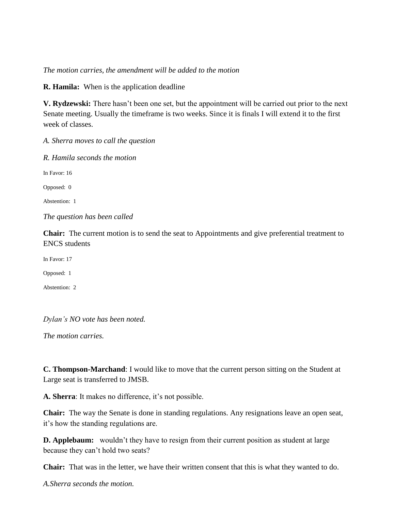## *The motion carries, the amendment will be added to the motion*

**R. Hamila:** When is the application deadline

**V. Rydzewski:** There hasn't been one set, but the appointment will be carried out prior to the next Senate meeting. Usually the timeframe is two weeks. Since it is finals I will extend it to the first week of classes.

*A. Sherra moves to call the question*

*R. Hamila seconds the motion* In Favor: 16 Opposed: 0 Abstention: 1 *The question has been called*

**Chair:** The current motion is to send the seat to Appointments and give preferential treatment to ENCS students

In Favor: 17

Opposed: 1

Abstention: 2

*Dylan's NO vote has been noted.*

*The motion carries.*

**C. Thompson-Marchand**: I would like to move that the current person sitting on the Student at Large seat is transferred to JMSB.

**A. Sherra**: It makes no difference, it's not possible.

**Chair:** The way the Senate is done in standing regulations. Any resignations leave an open seat, it's how the standing regulations are.

**D. Applebaum:** wouldn't they have to resign from their current position as student at large because they can't hold two seats?

**Chair:** That was in the letter, we have their written consent that this is what they wanted to do.

*A.Sherra seconds the motion.*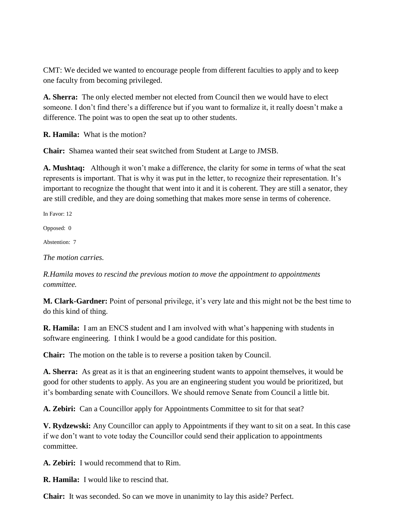CMT: We decided we wanted to encourage people from different faculties to apply and to keep one faculty from becoming privileged.

**A. Sherra:** The only elected member not elected from Council then we would have to elect someone. I don't find there's a difference but if you want to formalize it, it really doesn't make a difference. The point was to open the seat up to other students.

**R. Hamila:** What is the motion?

**Chair:** Shamea wanted their seat switched from Student at Large to JMSB.

**A. Mushtaq:** Although it won't make a difference, the clarity for some in terms of what the seat represents is important. That is why it was put in the letter, to recognize their representation. It's important to recognize the thought that went into it and it is coherent. They are still a senator, they are still credible, and they are doing something that makes more sense in terms of coherence.

In Favor: 12

Opposed: 0

Abstention: 7

*The motion carries.* 

*R.Hamila moves to rescind the previous motion to move the appointment to appointments committee.*

**M. Clark-Gardner:** Point of personal privilege, it's very late and this might not be the best time to do this kind of thing.

**R. Hamila:** I am an ENCS student and I am involved with what's happening with students in software engineering. I think I would be a good candidate for this position.

**Chair:** The motion on the table is to reverse a position taken by Council.

**A. Sherra:** As great as it is that an engineering student wants to appoint themselves, it would be good for other students to apply. As you are an engineering student you would be prioritized, but it's bombarding senate with Councillors. We should remove Senate from Council a little bit.

**A. Zebiri:** Can a Councillor apply for Appointments Committee to sit for that seat?

**V. Rydzewski:** Any Councillor can apply to Appointments if they want to sit on a seat. In this case if we don't want to vote today the Councillor could send their application to appointments committee.

**A. Zebiri:** I would recommend that to Rim.

**R. Hamila:** I would like to rescind that.

**Chair:** It was seconded. So can we move in unanimity to lay this aside? Perfect.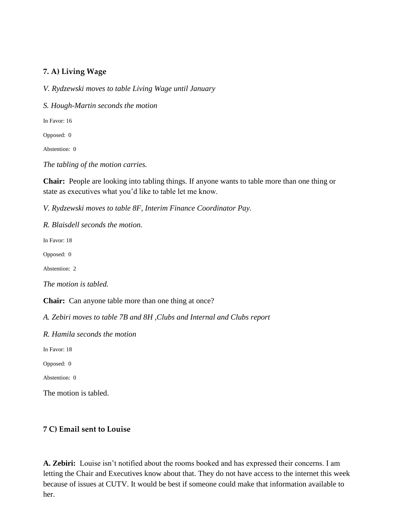# **7. A) Living Wage**

*V. Rydzewski moves to table Living Wage until January*

*S. Hough-Martin seconds the motion*

In Favor: 16

Opposed: 0

Abstention: 0

*The tabling of the motion carries.*

**Chair:** People are looking into tabling things. If anyone wants to table more than one thing or state as executives what you'd like to table let me know.

*V. Rydzewski moves to table 8F, Interim Finance Coordinator Pay.*

*R. Blaisdell seconds the motion.* 

In Favor: 18

Opposed: 0

Abstention: 2

*The motion is tabled.*

**Chair:** Can anyone table more than one thing at once?

*A. Zebiri moves to table 7B and 8H ,Clubs and Internal and Clubs report*

*R. Hamila seconds the motion*

In Favor: 18

Opposed: 0

Abstention: 0

The motion is tabled.

#### **7 C) Email sent to Louise**

**A. Zebiri:** Louise isn't notified about the rooms booked and has expressed their concerns. I am letting the Chair and Executives know about that. They do not have access to the internet this week because of issues at CUTV. It would be best if someone could make that information available to her.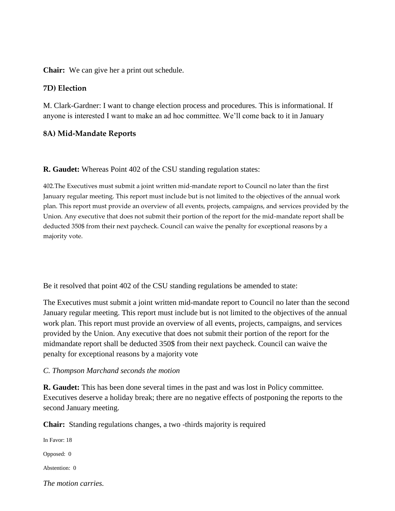**Chair:** We can give her a print out schedule.

## **7D) Election**

M. Clark-Gardner: I want to change election process and procedures. This is informational. If anyone is interested I want to make an ad hoc committee. We'll come back to it in January

## **8A) Mid-Mandate Reports**

**R. Gaudet:** Whereas Point 402 of the CSU standing regulation states:

402.The Executives must submit a joint written mid-mandate report to Council no later than the first January regular meeting. This report must include but is not limited to the objectives of the annual work plan. This report must provide an overview of all events, projects, campaigns, and services provided by the Union. Any executive that does not submit their portion of the report for the mid-mandate report shall be deducted 350\$ from their next paycheck. Council can waive the penalty for exceptional reasons by a majority vote.

Be it resolved that point 402 of the CSU standing regulations be amended to state:

The Executives must submit a joint written mid-mandate report to Council no later than the second January regular meeting. This report must include but is not limited to the objectives of the annual work plan. This report must provide an overview of all events, projects, campaigns, and services provided by the Union. Any executive that does not submit their portion of the report for the midmandate report shall be deducted 350\$ from their next paycheck. Council can waive the penalty for exceptional reasons by a majority vote

#### *C. Thompson Marchand seconds the motion*

**R. Gaudet:** This has been done several times in the past and was lost in Policy committee. Executives deserve a holiday break; there are no negative effects of postponing the reports to the second January meeting.

**Chair:** Standing regulations changes, a two -thirds majority is required

In Favor: 18 Opposed: 0 Abstention: 0 *The motion carries.*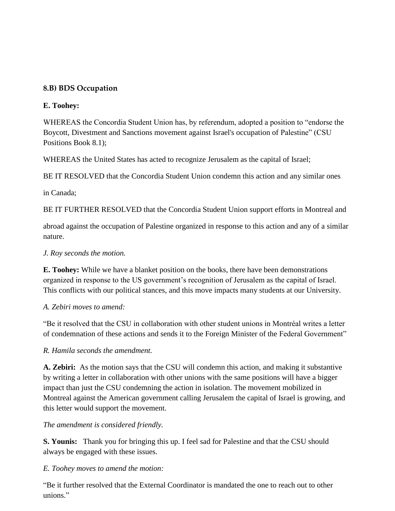# **8.B) BDS Occupation**

# **E. Toohey:**

WHEREAS the Concordia Student Union has, by referendum, adopted a position to "endorse the Boycott, Divestment and Sanctions movement against Israel's occupation of Palestine" (CSU Positions Book 8.1);

WHEREAS the United States has acted to recognize Jerusalem as the capital of Israel;

BE IT RESOLVED that the Concordia Student Union condemn this action and any similar ones

in Canada;

BE IT FURTHER RESOLVED that the Concordia Student Union support efforts in Montreal and

abroad against the occupation of Palestine organized in response to this action and any of a similar nature.

# *J. Roy seconds the motion.*

**E. Toohey:** While we have a blanket position on the books, there have been demonstrations organized in response to the US government's recognition of Jerusalem as the capital of Israel. This conflicts with our political stances, and this move impacts many students at our University.

# *A. Zebiri moves to amend:*

"Be it resolved that the CSU in collaboration with other student unions in Montréal writes a letter of condemnation of these actions and sends it to the Foreign Minister of the Federal Government"

# *R. Hamila seconds the amendment.*

**A. Zebiri:** As the motion says that the CSU will condemn this action, and making it substantive by writing a letter in collaboration with other unions with the same positions will have a bigger impact than just the CSU condemning the action in isolation. The movement mobilized in Montreal against the American government calling Jerusalem the capital of Israel is growing, and this letter would support the movement.

# *The amendment is considered friendly.*

**S. Younis:** Thank you for bringing this up. I feel sad for Palestine and that the CSU should always be engaged with these issues.

# *E. Toohey moves to amend the motion:*

"Be it further resolved that the External Coordinator is mandated the one to reach out to other unions."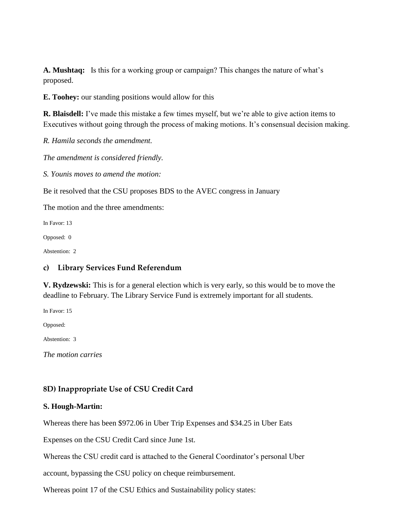**A. Mushtaq:** Is this for a working group or campaign? This changes the nature of what's proposed.

**E. Toohey:** our standing positions would allow for this

**R. Blaisdell:** I've made this mistake a few times myself, but we're able to give action items to Executives without going through the process of making motions. It's consensual decision making.

*R. Hamila seconds the amendment.* 

*The amendment is considered friendly.*

*S. Younis moves to amend the motion:* 

Be it resolved that the CSU proposes BDS to the AVEC congress in January

The motion and the three amendments:

In Favor: 13

Opposed: 0

Abstention: 2

# **c) Library Services Fund Referendum**

**V. Rydzewski:** This is for a general election which is very early, so this would be to move the deadline to February. The Library Service Fund is extremely important for all students.

In Favor: 15

Opposed:

Abstention: 3

*The motion carries*

# **8D) Inappropriate Use of CSU Credit Card**

# **S. Hough-Martin:**

Whereas there has been \$972.06 in Uber Trip Expenses and \$34.25 in Uber Eats

Expenses on the CSU Credit Card since June 1st.

Whereas the CSU credit card is attached to the General Coordinator's personal Uber

account, bypassing the CSU policy on cheque reimbursement.

Whereas point 17 of the CSU Ethics and Sustainability policy states: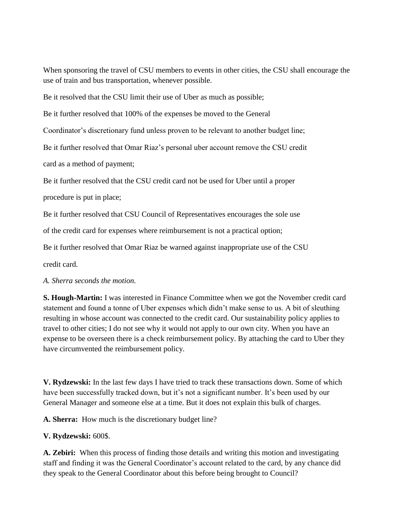When sponsoring the travel of CSU members to events in other cities, the CSU shall encourage the use of train and bus transportation, whenever possible.

Be it resolved that the CSU limit their use of Uber as much as possible;

Be it further resolved that 100% of the expenses be moved to the General

Coordinator's discretionary fund unless proven to be relevant to another budget line;

Be it further resolved that Omar Riaz's personal uber account remove the CSU credit

card as a method of payment;

Be it further resolved that the CSU credit card not be used for Uber until a proper

procedure is put in place;

Be it further resolved that CSU Council of Representatives encourages the sole use

of the credit card for expenses where reimbursement is not a practical option;

Be it further resolved that Omar Riaz be warned against inappropriate use of the CSU

credit card.

#### *A. Sherra seconds the motion.*

**S. Hough-Martin:** I was interested in Finance Committee when we got the November credit card statement and found a tonne of Uber expenses which didn't make sense to us. A bit of sleuthing resulting in whose account was connected to the credit card. Our sustainability policy applies to travel to other cities; I do not see why it would not apply to our own city. When you have an expense to be overseen there is a check reimbursement policy. By attaching the card to Uber they have circumvented the reimbursement policy.

**V. Rydzewski:** In the last few days I have tried to track these transactions down. Some of which have been successfully tracked down, but it's not a significant number. It's been used by our General Manager and someone else at a time. But it does not explain this bulk of charges.

**A. Sherra:** How much is the discretionary budget line?

# **V. Rydzewski:** 600\$.

**A. Zebiri:** When this process of finding those details and writing this motion and investigating staff and finding it was the General Coordinator's account related to the card, by any chance did they speak to the General Coordinator about this before being brought to Council?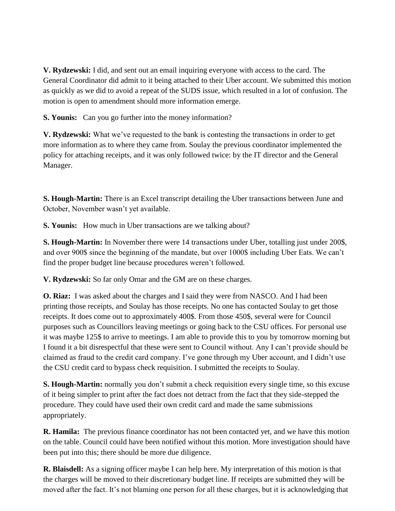**V. Rydzewski:** I did, and sent out an email inquiring everyone with access to the card. The General Coordinator did admit to it being attached to their Uber account. We submitted this motion as quickly as we did to avoid a repeat of the SUDS issue, which resulted in a lot of confusion. The motion is open to amendment should more information emerge.

**S. Younis:** Can you go further into the money information?

**V. Rydzewski:** What we've requested to the bank is contesting the transactions in order to get more information as to where they came from. Soulay the previous coordinator implemented the policy for attaching receipts, and it was only followed twice: by the IT director and the General Manager.

**S. Hough-Martin:** There is an Excel transcript detailing the Uber transactions between June and October, November wasn't yet available.

**S. Younis:** How much in Uber transactions are we talking about?

**S. Hough-Martin:** In November there were 14 transactions under Uber, totalling just under 200\$, and over 900\$ since the beginning of the mandate, but over 1000\$ including Uber Eats. We can't find the proper budget line because procedures weren't followed.

**V. Rydzewski:** So far only Omar and the GM are on these charges.

**O. Riaz:** I was asked about the charges and I said they were from NASCO. And I had been printing those receipts, and Soulay has those receipts. No one has contacted Soulay to get those receipts. It does come out to approximately 400\$. From those 450\$, several were for Council purposes such as Councillors leaving meetings or going back to the CSU offices. For personal use it was maybe 125\$ to arrive to meetings. I am able to provide this to you by tomorrow morning but I found it a bit disrespectful that these were sent to Council without. Any I can't provide should be claimed as fraud to the credit card company. I've gone through my Uber account, and I didn't use the CSU credit card to bypass check requisition. I submitted the receipts to Soulay.

**S. Hough-Martin:** normally you don't submit a check requisition every single time, so this excuse of it being simpler to print after the fact does not detract from the fact that they side-stepped the procedure. They could have used their own credit card and made the same submissions appropriately.

**R. Hamila:** The previous finance coordinator has not been contacted yet, and we have this motion on the table. Council could have been notified without this motion. More investigation should have been put into this; there should be more due diligence.

**R. Blaisdell:** As a signing officer maybe I can help here. My interpretation of this motion is that the charges will be moved to their discretionary budget line. If receipts are submitted they will be moved after the fact. It's not blaming one person for all these charges, but it is acknowledging that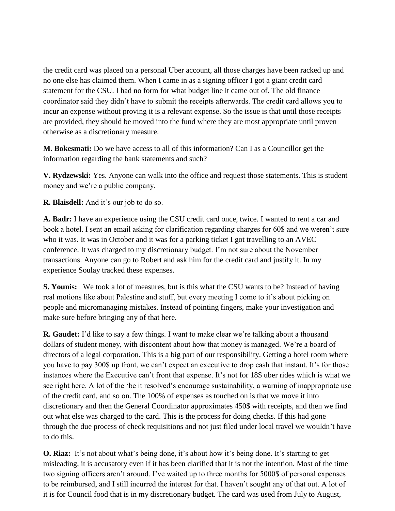the credit card was placed on a personal Uber account, all those charges have been racked up and no one else has claimed them. When I came in as a signing officer I got a giant credit card statement for the CSU. I had no form for what budget line it came out of. The old finance coordinator said they didn't have to submit the receipts afterwards. The credit card allows you to incur an expense without proving it is a relevant expense. So the issue is that until those receipts are provided, they should be moved into the fund where they are most appropriate until proven otherwise as a discretionary measure.

**M. Bokesmati:** Do we have access to all of this information? Can I as a Councillor get the information regarding the bank statements and such?

**V. Rydzewski:** Yes. Anyone can walk into the office and request those statements. This is student money and we're a public company.

**R. Blaisdell:** And it's our job to do so.

**A. Badr:** I have an experience using the CSU credit card once, twice. I wanted to rent a car and book a hotel. I sent an email asking for clarification regarding charges for 60\$ and we weren't sure who it was. It was in October and it was for a parking ticket I got travelling to an AVEC conference. It was charged to my discretionary budget. I'm not sure about the November transactions. Anyone can go to Robert and ask him for the credit card and justify it. In my experience Soulay tracked these expenses.

**S. Younis:** We took a lot of measures, but is this what the CSU wants to be? Instead of having real motions like about Palestine and stuff, but every meeting I come to it's about picking on people and micromanaging mistakes. Instead of pointing fingers, make your investigation and make sure before bringing any of that here.

**R. Gaudet:** I'd like to say a few things. I want to make clear we're talking about a thousand dollars of student money, with discontent about how that money is managed. We're a board of directors of a legal corporation. This is a big part of our responsibility. Getting a hotel room where you have to pay 300\$ up front, we can't expect an executive to drop cash that instant. It's for those instances where the Executive can't front that expense. It's not for 18\$ uber rides which is what we see right here. A lot of the 'be it resolved's encourage sustainability, a warning of inappropriate use of the credit card, and so on. The 100% of expenses as touched on is that we move it into discretionary and then the General Coordinator approximates 450\$ with receipts, and then we find out what else was charged to the card. This is the process for doing checks. If this had gone through the due process of check requisitions and not just filed under local travel we wouldn't have to do this.

**O. Riaz:** It's not about what's being done, it's about how it's being done. It's starting to get misleading, it is accusatory even if it has been clarified that it is not the intention. Most of the time two signing officers aren't around. I've waited up to three months for 5000\$ of personal expenses to be reimbursed, and I still incurred the interest for that. I haven't sought any of that out. A lot of it is for Council food that is in my discretionary budget. The card was used from July to August,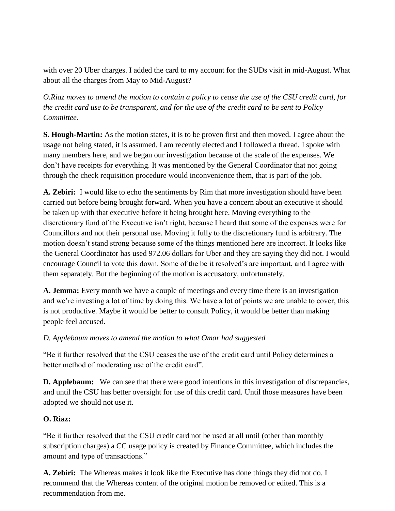with over 20 Uber charges. I added the card to my account for the SUDs visit in mid-August. What about all the charges from May to Mid-August?

*O.Riaz moves to amend the motion to contain a policy to cease the use of the CSU credit card, for the credit card use to be transparent, and for the use of the credit card to be sent to Policy Committee.* 

**S. Hough-Martin:** As the motion states, it is to be proven first and then moved. I agree about the usage not being stated, it is assumed. I am recently elected and I followed a thread, I spoke with many members here, and we began our investigation because of the scale of the expenses. We don't have receipts for everything. It was mentioned by the General Coordinator that not going through the check requisition procedure would inconvenience them, that is part of the job.

**A. Zebiri:** I would like to echo the sentiments by Rim that more investigation should have been carried out before being brought forward. When you have a concern about an executive it should be taken up with that executive before it being brought here. Moving everything to the discretionary fund of the Executive isn't right, because I heard that some of the expenses were for Councillors and not their personal use. Moving it fully to the discretionary fund is arbitrary. The motion doesn't stand strong because some of the things mentioned here are incorrect. It looks like the General Coordinator has used 972.06 dollars for Uber and they are saying they did not. I would encourage Council to vote this down. Some of the be it resolved's are important, and I agree with them separately. But the beginning of the motion is accusatory, unfortunately.

**A. Jemma:** Every month we have a couple of meetings and every time there is an investigation and we're investing a lot of time by doing this. We have a lot of points we are unable to cover, this is not productive. Maybe it would be better to consult Policy, it would be better than making people feel accused.

# *D. Applebaum moves to amend the motion to what Omar had suggested*

"Be it further resolved that the CSU ceases the use of the credit card until Policy determines a better method of moderating use of the credit card".

**D. Applebaum:** We can see that there were good intentions in this investigation of discrepancies, and until the CSU has better oversight for use of this credit card. Until those measures have been adopted we should not use it.

# **O. Riaz:**

"Be it further resolved that the CSU credit card not be used at all until (other than monthly subscription charges) a CC usage policy is created by Finance Committee, which includes the amount and type of transactions."

**A. Zebiri:** The Whereas makes it look like the Executive has done things they did not do. I recommend that the Whereas content of the original motion be removed or edited. This is a recommendation from me.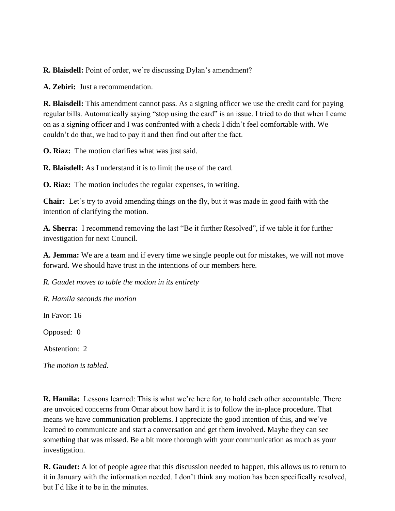**R. Blaisdell:** Point of order, we're discussing Dylan's amendment?

**A. Zebiri:** Just a recommendation.

**R. Blaisdell:** This amendment cannot pass. As a signing officer we use the credit card for paying regular bills. Automatically saying "stop using the card" is an issue. I tried to do that when I came on as a signing officer and I was confronted with a check I didn't feel comfortable with. We couldn't do that, we had to pay it and then find out after the fact.

**O. Riaz:** The motion clarifies what was just said.

**R. Blaisdell:** As I understand it is to limit the use of the card.

**O. Riaz:** The motion includes the regular expenses, in writing.

**Chair:** Let's try to avoid amending things on the fly, but it was made in good faith with the intention of clarifying the motion.

**A. Sherra:** I recommend removing the last "Be it further Resolved", if we table it for further investigation for next Council.

**A. Jemma:** We are a team and if every time we single people out for mistakes, we will not move forward. We should have trust in the intentions of our members here.

*R. Gaudet moves to table the motion in its entirety*

*R. Hamila seconds the motion*

In Favor: 16

Opposed: 0

Abstention: 2

*The motion is tabled.* 

**R. Hamila:** Lessons learned: This is what we're here for, to hold each other accountable. There are unvoiced concerns from Omar about how hard it is to follow the in-place procedure. That means we have communication problems. I appreciate the good intention of this, and we've learned to communicate and start a conversation and get them involved. Maybe they can see something that was missed. Be a bit more thorough with your communication as much as your investigation.

**R. Gaudet:** A lot of people agree that this discussion needed to happen, this allows us to return to it in January with the information needed. I don't think any motion has been specifically resolved, but I'd like it to be in the minutes.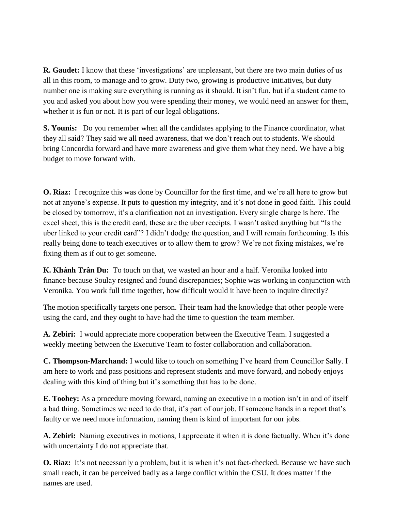**R. Gaudet:** I know that these 'investigations' are unpleasant, but there are two main duties of us all in this room, to manage and to grow. Duty two, growing is productive initiatives, but duty number one is making sure everything is running as it should. It isn't fun, but if a student came to you and asked you about how you were spending their money, we would need an answer for them, whether it is fun or not. It is part of our legal obligations.

**S. Younis:** Do you remember when all the candidates applying to the Finance coordinator, what they all said? They said we all need awareness, that we don't reach out to students. We should bring Concordia forward and have more awareness and give them what they need. We have a big budget to move forward with.

**O. Riaz:** I recognize this was done by Councillor for the first time, and we're all here to grow but not at anyone's expense. It puts to question my integrity, and it's not done in good faith. This could be closed by tomorrow, it's a clarification not an investigation. Every single charge is here. The excel sheet, this is the credit card, these are the uber receipts. I wasn't asked anything but "Is the uber linked to your credit card"? I didn't dodge the question, and I will remain forthcoming. Is this really being done to teach executives or to allow them to grow? We're not fixing mistakes, we're fixing them as if out to get someone.

**K. Khánh Trân Du:** To touch on that, we wasted an hour and a half. Veronika looked into finance because Soulay resigned and found discrepancies; Sophie was working in conjunction with Veronika. You work full time together, how difficult would it have been to inquire directly?

The motion specifically targets one person. Their team had the knowledge that other people were using the card, and they ought to have had the time to question the team member.

**A. Zebiri:** I would appreciate more cooperation between the Executive Team. I suggested a weekly meeting between the Executive Team to foster collaboration and collaboration.

**C. Thompson-Marchand:** I would like to touch on something I've heard from Councillor Sally. I am here to work and pass positions and represent students and move forward, and nobody enjoys dealing with this kind of thing but it's something that has to be done.

**E. Toohey:** As a procedure moving forward, naming an executive in a motion isn't in and of itself a bad thing. Sometimes we need to do that, it's part of our job. If someone hands in a report that's faulty or we need more information, naming them is kind of important for our jobs.

**A. Zebiri:** Naming executives in motions, I appreciate it when it is done factually. When it's done with uncertainty I do not appreciate that.

**O. Riaz:** It's not necessarily a problem, but it is when it's not fact-checked. Because we have such small reach, it can be perceived badly as a large conflict within the CSU. It does matter if the names are used.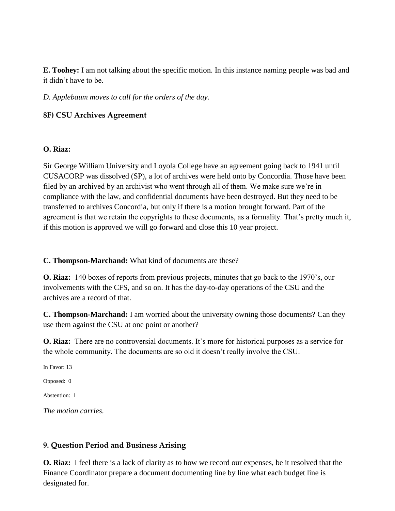**E. Toohey:** I am not talking about the specific motion. In this instance naming people was bad and it didn't have to be.

*D. Applebaum moves to call for the orders of the day.*

# **8F) CSU Archives Agreement**

## **O. Riaz:**

Sir George William University and Loyola College have an agreement going back to 1941 until CUSACORP was dissolved (SP), a lot of archives were held onto by Concordia. Those have been filed by an archived by an archivist who went through all of them. We make sure we're in compliance with the law, and confidential documents have been destroyed. But they need to be transferred to archives Concordia, but only if there is a motion brought forward. Part of the agreement is that we retain the copyrights to these documents, as a formality. That's pretty much it, if this motion is approved we will go forward and close this 10 year project.

**C. Thompson-Marchand:** What kind of documents are these?

**O. Riaz:** 140 boxes of reports from previous projects, minutes that go back to the 1970's, our involvements with the CFS, and so on. It has the day-to-day operations of the CSU and the archives are a record of that.

**C. Thompson-Marchand:** I am worried about the university owning those documents? Can they use them against the CSU at one point or another?

**O. Riaz:** There are no controversial documents. It's more for historical purposes as a service for the whole community. The documents are so old it doesn't really involve the CSU.

In Favor: 13 Opposed: 0 Abstention: 1

*The motion carries.*

# **9. Question Period and Business Arising**

**O. Riaz:** I feel there is a lack of clarity as to how we record our expenses, be it resolved that the Finance Coordinator prepare a document documenting line by line what each budget line is designated for.